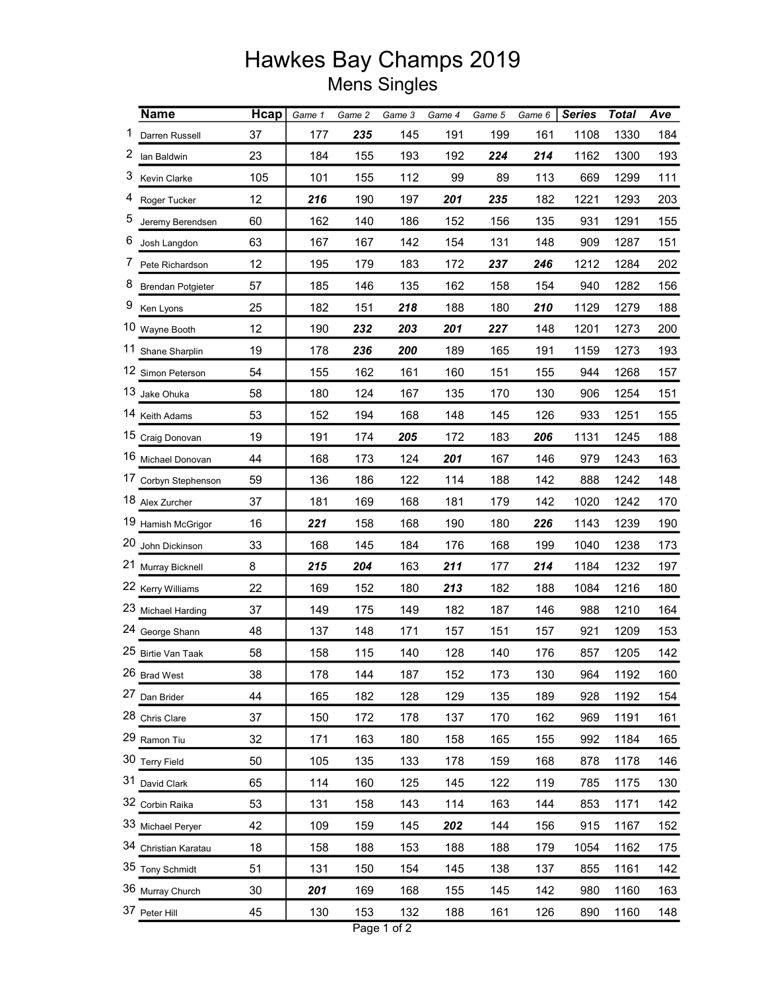## Hawkes Bay Champs 2019 Mens Singles

|    | <b>Name</b>              | Hcap | Game 1 | Game 2 | Game 3 | Game 4 | Game 5 | Game 6 | <b>Series</b> | <b>Total</b> | Ave |
|----|--------------------------|------|--------|--------|--------|--------|--------|--------|---------------|--------------|-----|
| 1  | Darren Russell           | 37   | 177    | 235    | 145    | 191    | 199    | 161    | 1108          | 1330         | 184 |
| 2  | lan Baldwin              | 23   | 184    | 155    | 193    | 192    | 224    | 214    | 1162          | 1300         | 193 |
| 3  | Kevin Clarke             | 105  | 101    | 155    | 112    | 99     | 89     | 113    | 669           | 1299         | 111 |
| 4  | Roger Tucker             | 12   | 216    | 190    | 197    | 201    | 235    | 182    | 1221          | 1293         | 203 |
| 5  | Jeremy Berendsen         | 60   | 162    | 140    | 186    | 152    | 156    | 135    | 931           | 1291         | 155 |
| 6  | Josh Langdon             | 63   | 167    | 167    | 142    | 154    | 131    | 148    | 909           | 1287         | 151 |
| 7  | Pete Richardson          | 12   | 195    | 179    | 183    | 172    | 237    | 246    | 1212          | 1284         | 202 |
| 8  | <b>Brendan Potgieter</b> | 57   | 185    | 146    | 135    | 162    | 158    | 154    | 940           | 1282         | 156 |
| 9  | Ken Lyons                | 25   | 182    | 151    | 218    | 188    | 180    | 210    | 1129          | 1279         | 188 |
|    | 10 Wayne Booth           | 12   | 190    | 232    | 203    | 201    | 227    | 148    | 1201          | 1273         | 200 |
| 11 | Shane Sharplin           | 19   | 178    | 236    | 200    | 189    | 165    | 191    | 1159          | 1273         | 193 |
|    | 12 Simon Peterson        | 54   | 155    | 162    | 161    | 160    | 151    | 155    | 944           | 1268         | 157 |
|    | 13 Jake Ohuka            | 58   | 180    | 124    | 167    | 135    | 170    | 130    | 906           | 1254         | 151 |
|    | 14 Keith Adams           | 53   | 152    | 194    | 168    | 148    | 145    | 126    | 933           | 1251         | 155 |
|    | 15 Craig Donovan         | 19   | 191    | 174    | 205    | 172    | 183    | 206    | 1131          | 1245         | 188 |
|    | 16 Michael Donovan       | 44   | 168    | 173    | 124    | 201    | 167    | 146    | 979           | 1243         | 163 |
|    | 17 Corbyn Stephenson     | 59   | 136    | 186    | 122    | 114    | 188    | 142    | 888           | 1242         | 148 |
|    | 18 Alex Zurcher          | 37   | 181    | 169    | 168    | 181    | 179    | 142    | 1020          | 1242         | 170 |
|    | 19 Hamish McGrigor       | 16   | 221    | 158    | 168    | 190    | 180    | 226    | 1143          | 1239         | 190 |
|    | 20 John Dickinson        | 33   | 168    | 145    | 184    | 176    | 168    | 199    | 1040          | 1238         | 173 |
| 21 | Murray Bicknell          | 8    | 215    | 204    | 163    | 211    | 177    | 214    | 1184          | 1232         | 197 |
|    | 22 Kerry Williams        | 22   | 169    | 152    | 180    | 213    | 182    | 188    | 1084          | 1216         | 180 |
|    | 23 Michael Harding       | 37   | 149    | 175    | 149    | 182    | 187    | 146    | 988           | 1210         | 164 |
|    | 24 George Shann          | 48   | 137    | 148    | 171    | 157    | 151    | 157    | 921           | 1209         | 153 |
|    | 25 Birtie Van Taak       | 58   | 158    | 115    | 140    | 128    | 140    | 176    | 857           | 1205         | 142 |
|    | 26 Brad West             | 38   | 178    | 144    | 187    | 152    | 173    | 130    | 964           | 1192         | 160 |
|    | 27 Dan Brider            | 44   | 165    | 182    | 128    | 129    | 135    | 189    | 928           | 1192         | 154 |
|    | 28 Chris Clare           | 37   | 150    | 172    | 178    | 137    | 170    | 162    | 969           | 1191         | 161 |
|    | 29 Ramon Tiu             | 32   | 171    | 163    | 180    | 158    | 165    | 155    | 992           | 1184         | 165 |
|    | 30 Terry Field           | 50   | 105    | 135    | 133    | 178    | 159    | 168    | 878           | 1178         | 146 |
|    | 31 David Clark           | 65   | 114    | 160    | 125    | 145    | 122    | 119    | 785           | 1175         | 130 |
|    | 32 Corbin Raika          | 53   | 131    | 158    | 143    | 114    | 163    | 144    | 853           | 1171         | 142 |
|    | 33 Michael Peryer        | 42   | 109    | 159    | 145    | 202    | 144    | 156    | 915           | 1167         | 152 |
|    | 34 Christian Karatau     | 18   | 158    | 188    | 153    | 188    | 188    | 179    | 1054          | 1162         | 175 |
|    | 35 Tony Schmidt          | 51   | 131    | 150    | 154    | 145    | 138    | 137    | 855           | 1161         | 142 |
|    | 36 Murray Church         | 30   | 201    | 169    | 168    | 155    | 145    | 142    | 980           | 1160         | 163 |
|    | 37 Peter Hill            | 45   | 130    | 153    | 132    | 188    | 161    | 126    | 890           | 1160         | 148 |